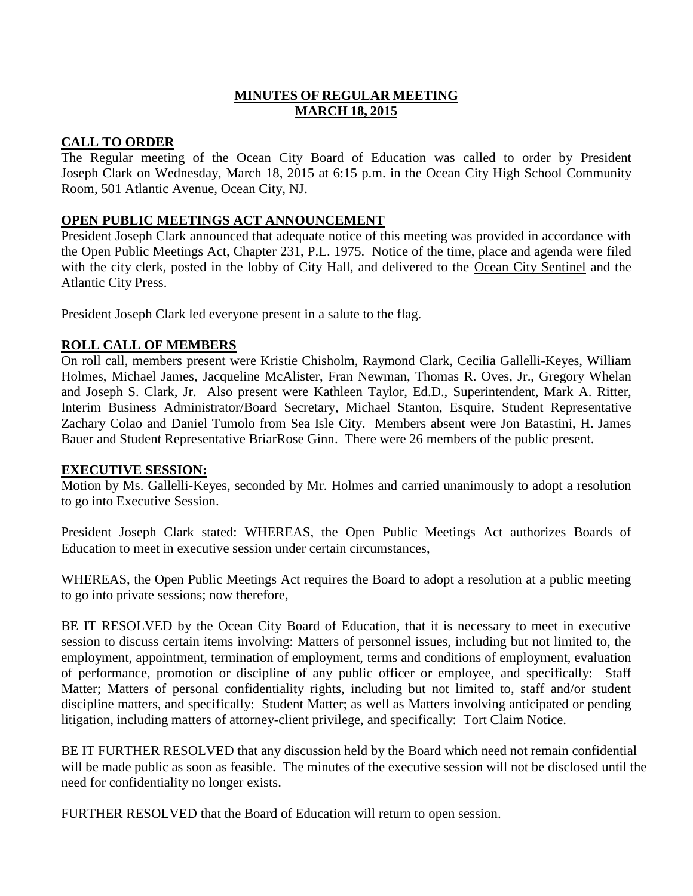# **MINUTES OF REGULAR MEETING MARCH 18, 2015**

# **CALL TO ORDER**

The Regular meeting of the Ocean City Board of Education was called to order by President Joseph Clark on Wednesday, March 18, 2015 at 6:15 p.m. in the Ocean City High School Community Room, 501 Atlantic Avenue, Ocean City, NJ.

# **OPEN PUBLIC MEETINGS ACT ANNOUNCEMENT**

President Joseph Clark announced that adequate notice of this meeting was provided in accordance with the Open Public Meetings Act, Chapter 231, P.L. 1975. Notice of the time, place and agenda were filed with the city clerk, posted in the lobby of City Hall, and delivered to the Ocean City Sentinel and the Atlantic City Press.

President Joseph Clark led everyone present in a salute to the flag.

# **ROLL CALL OF MEMBERS**

On roll call, members present were Kristie Chisholm, Raymond Clark, Cecilia Gallelli-Keyes, William Holmes, Michael James, Jacqueline McAlister, Fran Newman, Thomas R. Oves, Jr., Gregory Whelan and Joseph S. Clark, Jr. Also present were Kathleen Taylor, Ed.D., Superintendent, Mark A. Ritter, Interim Business Administrator/Board Secretary, Michael Stanton, Esquire, Student Representative Zachary Colao and Daniel Tumolo from Sea Isle City. Members absent were Jon Batastini, H. James Bauer and Student Representative BriarRose Ginn. There were 26 members of the public present.

### **EXECUTIVE SESSION:**

Motion by Ms. Gallelli-Keyes, seconded by Mr. Holmes and carried unanimously to adopt a resolution to go into Executive Session.

President Joseph Clark stated: WHEREAS, the Open Public Meetings Act authorizes Boards of Education to meet in executive session under certain circumstances,

WHEREAS, the Open Public Meetings Act requires the Board to adopt a resolution at a public meeting to go into private sessions; now therefore,

BE IT RESOLVED by the Ocean City Board of Education, that it is necessary to meet in executive session to discuss certain items involving: Matters of personnel issues, including but not limited to, the employment, appointment, termination of employment, terms and conditions of employment, evaluation of performance, promotion or discipline of any public officer or employee, and specifically: Staff Matter; Matters of personal confidentiality rights, including but not limited to, staff and/or student discipline matters, and specifically: Student Matter; as well as Matters involving anticipated or pending litigation, including matters of attorney-client privilege, and specifically: Tort Claim Notice.

BE IT FURTHER RESOLVED that any discussion held by the Board which need not remain confidential will be made public as soon as feasible. The minutes of the executive session will not be disclosed until the need for confidentiality no longer exists.

FURTHER RESOLVED that the Board of Education will return to open session.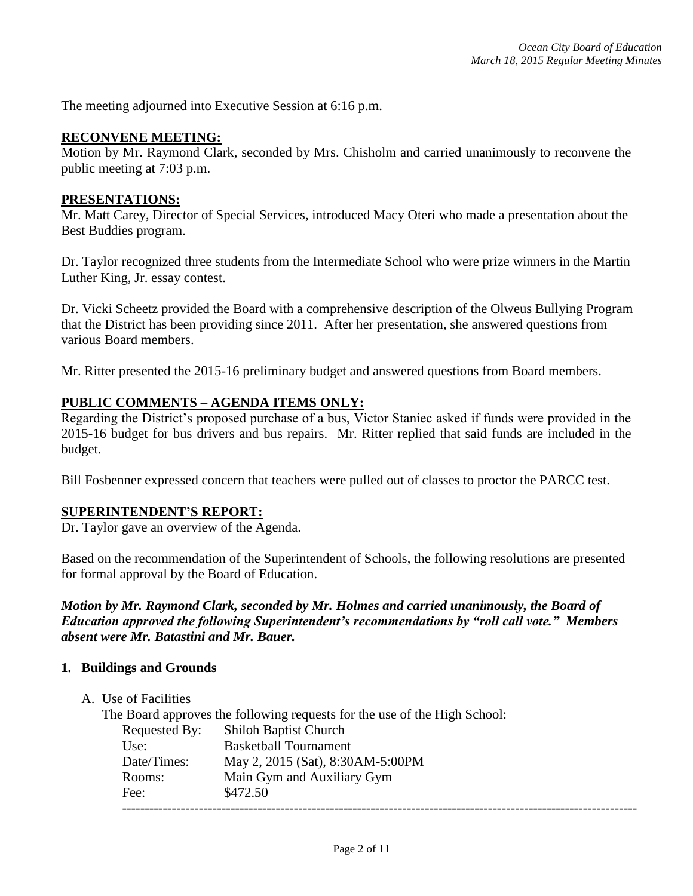The meeting adjourned into Executive Session at 6:16 p.m.

#### **RECONVENE MEETING:**

Motion by Mr. Raymond Clark, seconded by Mrs. Chisholm and carried unanimously to reconvene the public meeting at 7:03 p.m.

#### **PRESENTATIONS:**

Mr. Matt Carey, Director of Special Services, introduced Macy Oteri who made a presentation about the Best Buddies program.

Dr. Taylor recognized three students from the Intermediate School who were prize winners in the Martin Luther King, Jr. essay contest.

Dr. Vicki Scheetz provided the Board with a comprehensive description of the Olweus Bullying Program that the District has been providing since 2011. After her presentation, she answered questions from various Board members.

Mr. Ritter presented the 2015-16 preliminary budget and answered questions from Board members.

#### **PUBLIC COMMENTS – AGENDA ITEMS ONLY:**

Regarding the District's proposed purchase of a bus, Victor Staniec asked if funds were provided in the 2015-16 budget for bus drivers and bus repairs. Mr. Ritter replied that said funds are included in the budget.

Bill Fosbenner expressed concern that teachers were pulled out of classes to proctor the PARCC test.

#### **SUPERINTENDENT'S REPORT:**

Dr. Taylor gave an overview of the Agenda.

Based on the recommendation of the Superintendent of Schools, the following resolutions are presented for formal approval by the Board of Education.

*Motion by Mr. Raymond Clark, seconded by Mr. Holmes and carried unanimously, the Board of Education approved the following Superintendent's recommendations by "roll call vote." Members absent were Mr. Batastini and Mr. Bauer.*

#### **1. Buildings and Grounds**

#### A. Use of Facilities

The Board approves the following requests for the use of the High School: Requested By: Shiloh Baptist Church Use: Basketball Tournament Date/Times: May 2, 2015 (Sat), 8:30AM-5:00PM Rooms: Main Gym and Auxiliary Gym Fee: \$472.50 ------------------------------------------------------------------------------------------------------------------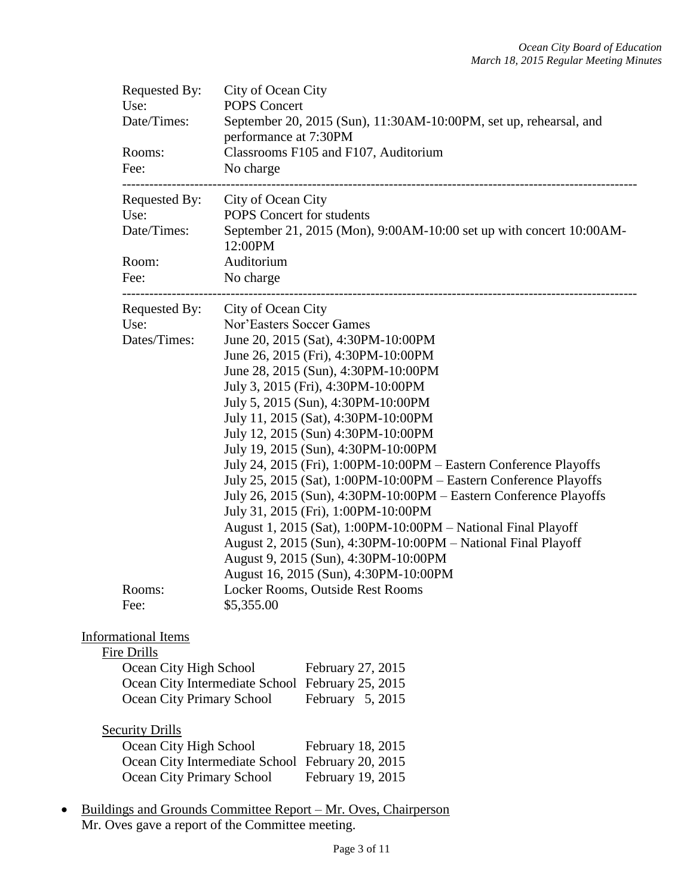| Requested By:<br>Use:<br>Date/Times:                                          | City of Ocean City<br><b>POPS Concert</b><br>September 20, 2015 (Sun), 11:30AM-10:00PM, set up, rehearsal, and<br>performance at 7:30PM                                                                                                                                                                                                                                                                                                                                                                                                                                                                                                                                                                                                                                                                                                                                          |
|-------------------------------------------------------------------------------|----------------------------------------------------------------------------------------------------------------------------------------------------------------------------------------------------------------------------------------------------------------------------------------------------------------------------------------------------------------------------------------------------------------------------------------------------------------------------------------------------------------------------------------------------------------------------------------------------------------------------------------------------------------------------------------------------------------------------------------------------------------------------------------------------------------------------------------------------------------------------------|
| Rooms:<br>Fee:                                                                | Classrooms F105 and F107, Auditorium<br>No charge                                                                                                                                                                                                                                                                                                                                                                                                                                                                                                                                                                                                                                                                                                                                                                                                                                |
| Requested By:<br>Use:<br>Date/Times:                                          | City of Ocean City<br>POPS Concert for students<br>September 21, 2015 (Mon), 9:00AM-10:00 set up with concert 10:00AM-<br>12:00PM                                                                                                                                                                                                                                                                                                                                                                                                                                                                                                                                                                                                                                                                                                                                                |
| Room:<br>Fee:                                                                 | Auditorium<br>No charge                                                                                                                                                                                                                                                                                                                                                                                                                                                                                                                                                                                                                                                                                                                                                                                                                                                          |
| Requested By:<br>Use:<br>Dates/Times:<br>Rooms:                               | City of Ocean City<br>Nor'Easters Soccer Games<br>June 20, 2015 (Sat), 4:30PM-10:00PM<br>June 26, 2015 (Fri), 4:30PM-10:00PM<br>June 28, 2015 (Sun), 4:30PM-10:00PM<br>July 3, 2015 (Fri), 4:30PM-10:00PM<br>July 5, 2015 (Sun), 4:30PM-10:00PM<br>July 11, 2015 (Sat), 4:30PM-10:00PM<br>July 12, 2015 (Sun) 4:30PM-10:00PM<br>July 19, 2015 (Sun), 4:30PM-10:00PM<br>July 24, 2015 (Fri), 1:00PM-10:00PM - Eastern Conference Playoffs<br>July 25, 2015 (Sat), 1:00PM-10:00PM - Eastern Conference Playoffs<br>July 26, 2015 (Sun), 4:30PM-10:00PM – Eastern Conference Playoffs<br>July 31, 2015 (Fri), 1:00PM-10:00PM<br>August 1, 2015 (Sat), 1:00PM-10:00PM - National Final Playoff<br>August 2, 2015 (Sun), 4:30PM-10:00PM - National Final Playoff<br>August 9, 2015 (Sun), 4:30PM-10:00PM<br>August 16, 2015 (Sun), 4:30PM-10:00PM<br>Locker Rooms, Outside Rest Rooms |
| Fee:<br><b>Informational Items</b>                                            | \$5,355.00                                                                                                                                                                                                                                                                                                                                                                                                                                                                                                                                                                                                                                                                                                                                                                                                                                                                       |
| Fire Drills<br>Ocean City High School<br>Ocean City Primary School            | February 27, 2015<br>Ocean City Intermediate School February 25, 2015<br>February 5, 2015                                                                                                                                                                                                                                                                                                                                                                                                                                                                                                                                                                                                                                                                                                                                                                                        |
| <b>Security Drills</b><br>Ocean City High School<br>Ocean City Primary School | February 18, 2015<br>Ocean City Intermediate School February 20, 2015<br>February 19, 2015                                                                                                                                                                                                                                                                                                                                                                                                                                                                                                                                                                                                                                                                                                                                                                                       |
|                                                                               | Buildings and Grounds Committee Report – Mr. Oves, Chairperson                                                                                                                                                                                                                                                                                                                                                                                                                                                                                                                                                                                                                                                                                                                                                                                                                   |

Mr. Oves gave a report of the Committee meeting.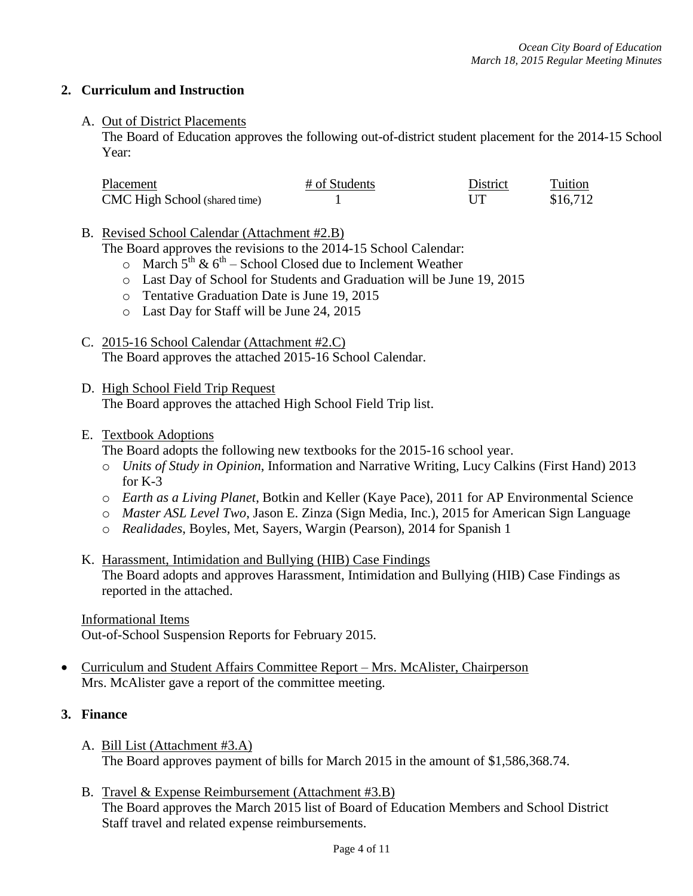# **2. Curriculum and Instruction**

# A. Out of District Placements

The Board of Education approves the following out-of-district student placement for the 2014-15 School Year:

| Placement                            | # of Students | District | Tuition  |
|--------------------------------------|---------------|----------|----------|
| <b>CMC</b> High School (shared time) |               |          | \$16,712 |

B. Revised School Calendar (Attachment #2.B)

The Board approves the revisions to the 2014-15 School Calendar:

- $\circ$  March 5<sup>th</sup> & 6<sup>th</sup> School Closed due to Inclement Weather
- o Last Day of School for Students and Graduation will be June 19, 2015
- o Tentative Graduation Date is June 19, 2015
- o Last Day for Staff will be June 24, 2015
- C. 2015-16 School Calendar (Attachment #2.C) The Board approves the attached 2015-16 School Calendar.
- D. High School Field Trip Request The Board approves the attached High School Field Trip list.

#### E. Textbook Adoptions

The Board adopts the following new textbooks for the 2015-16 school year.

- o *Units of Study in Opinion*, Information and Narrative Writing, Lucy Calkins (First Hand) 2013 for K-3
- o *Earth as a Living Planet*, Botkin and Keller (Kaye Pace), 2011 for AP Environmental Science
- o *Master ASL Level Two*, Jason E. Zinza (Sign Media, Inc.), 2015 for American Sign Language
- o *Realidades*, Boyles, Met, Sayers, Wargin (Pearson), 2014 for Spanish 1
- K. Harassment, Intimidation and Bullying (HIB) Case Findings The Board adopts and approves Harassment, Intimidation and Bullying (HIB) Case Findings as reported in the attached.

#### Informational Items

Out-of-School Suspension Reports for February 2015.

 Curriculum and Student Affairs Committee Report – Mrs. McAlister, Chairperson Mrs. McAlister gave a report of the committee meeting.

### **3. Finance**

- A. Bill List (Attachment #3.A) The Board approves payment of bills for March 2015 in the amount of \$1,586,368.74.
- B. Travel & Expense Reimbursement (Attachment #3.B) The Board approves the March 2015 list of Board of Education Members and School District Staff travel and related expense reimbursements.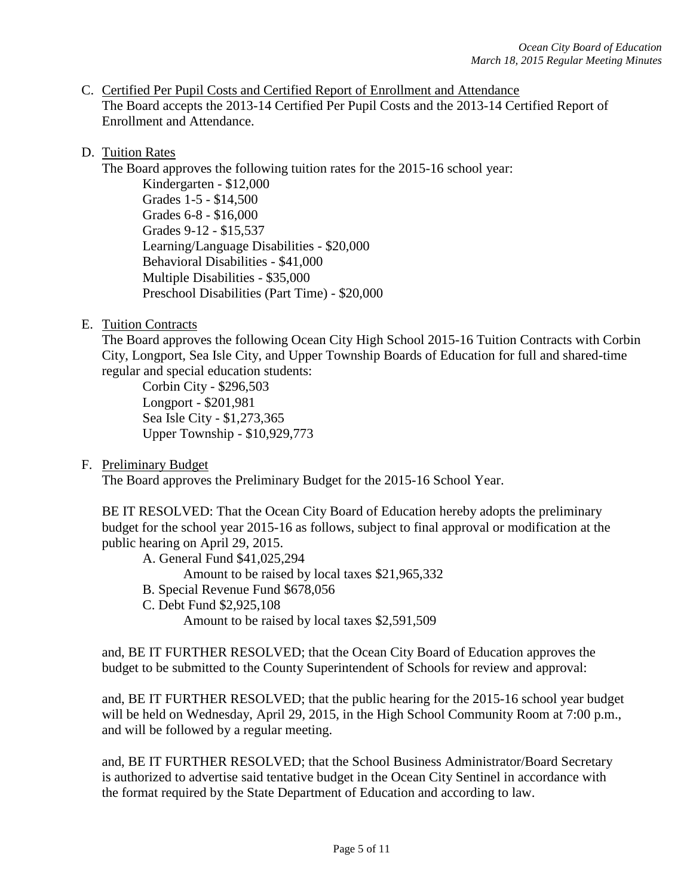C. Certified Per Pupil Costs and Certified Report of Enrollment and Attendance The Board accepts the 2013-14 Certified Per Pupil Costs and the 2013-14 Certified Report of Enrollment and Attendance.

# D. Tuition Rates

The Board approves the following tuition rates for the 2015-16 school year:

Kindergarten - \$12,000 Grades 1-5 - \$14,500 Grades 6-8 - \$16,000 Grades 9-12 - \$15,537 Learning/Language Disabilities - \$20,000 Behavioral Disabilities - \$41,000 Multiple Disabilities - \$35,000 Preschool Disabilities (Part Time) - \$20,000

# E. Tuition Contracts

The Board approves the following Ocean City High School 2015-16 Tuition Contracts with Corbin City, Longport, Sea Isle City, and Upper Township Boards of Education for full and shared-time regular and special education students:

Corbin City - \$296,503 Longport - \$201,981 Sea Isle City - \$1,273,365 Upper Township - \$10,929,773

F. Preliminary Budget

The Board approves the Preliminary Budget for the 2015-16 School Year.

BE IT RESOLVED: That the Ocean City Board of Education hereby adopts the preliminary budget for the school year 2015-16 as follows, subject to final approval or modification at the public hearing on April 29, 2015.

A. General Fund \$41,025,294

Amount to be raised by local taxes \$21,965,332

- B. Special Revenue Fund \$678,056
- C. Debt Fund \$2,925,108

Amount to be raised by local taxes \$2,591,509

and, BE IT FURTHER RESOLVED; that the Ocean City Board of Education approves the budget to be submitted to the County Superintendent of Schools for review and approval:

and, BE IT FURTHER RESOLVED; that the public hearing for the 2015-16 school year budget will be held on Wednesday, April 29, 2015, in the High School Community Room at 7:00 p.m., and will be followed by a regular meeting.

and, BE IT FURTHER RESOLVED; that the School Business Administrator/Board Secretary is authorized to advertise said tentative budget in the Ocean City Sentinel in accordance with the format required by the State Department of Education and according to law.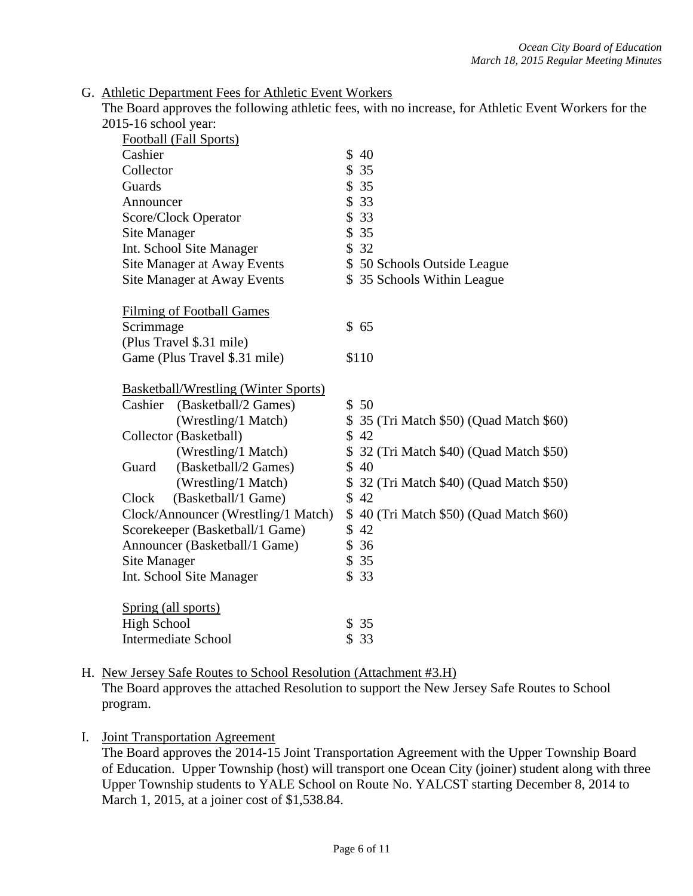#### G. Athletic Department Fees for Athletic Event Workers

The Board approves the following athletic fees, with no increase, for Athletic Event Workers for the 2015-16 school year:

| $2013$ TO senoor year.                      |                                          |
|---------------------------------------------|------------------------------------------|
| Football (Fall Sports)                      |                                          |
| Cashier                                     | \$40                                     |
| Collector                                   | \$35                                     |
| Guards                                      | \$35                                     |
| Announcer                                   | \$33                                     |
| Score/Clock Operator                        | \$33                                     |
| <b>Site Manager</b>                         | \$35                                     |
| Int. School Site Manager                    | \$32                                     |
| Site Manager at Away Events                 | \$50 Schools Outside League              |
| Site Manager at Away Events                 | \$35 Schools Within League               |
| <b>Filming of Football Games</b>            |                                          |
| Scrimmage                                   | \$65                                     |
| (Plus Travel \$.31 mile)                    |                                          |
| Game (Plus Travel \$.31 mile)               | \$110                                    |
| <b>Basketball/Wrestling (Winter Sports)</b> |                                          |
| (Basketball/2 Games)<br>Cashier             | \$50                                     |
| (Wrestling/1 Match)                         | \$ 35 (Tri Match \$50) (Quad Match \$60) |
| Collector (Basketball)                      | \$42                                     |
| (Wrestling/1 Match)                         | \$ 32 (Tri Match \$40) (Quad Match \$50) |
| (Basketball/2 Games)<br>Guard               | \$40                                     |
| (Wrestling/1 Match)                         | \$32 (Tri Match \$40) (Quad Match \$50)  |
| (Basketball/1 Game)<br>Clock                | \$42                                     |
| Clock/Announcer (Wrestling/1 Match)         | \$40 (Tri Match \$50) (Quad Match \$60)  |
| Scorekeeper (Basketball/1 Game)             | \$42                                     |
| Announcer (Basketball/1 Game)               | \$36                                     |
| Site Manager                                | \$35                                     |
| Int. School Site Manager                    | \$33                                     |
| Spring (all sports)                         |                                          |
| <b>High School</b>                          | \$35                                     |
| <b>Intermediate School</b>                  | \$33                                     |
|                                             |                                          |

H. New Jersey Safe Routes to School Resolution (Attachment #3.H) The Board approves the attached Resolution to support the New Jersey Safe Routes to School program.

I. Joint Transportation Agreement

The Board approves the 2014-15 Joint Transportation Agreement with the Upper Township Board of Education. Upper Township (host) will transport one Ocean City (joiner) student along with three Upper Township students to YALE School on Route No. YALCST starting December 8, 2014 to March 1, 2015, at a joiner cost of \$1,538.84.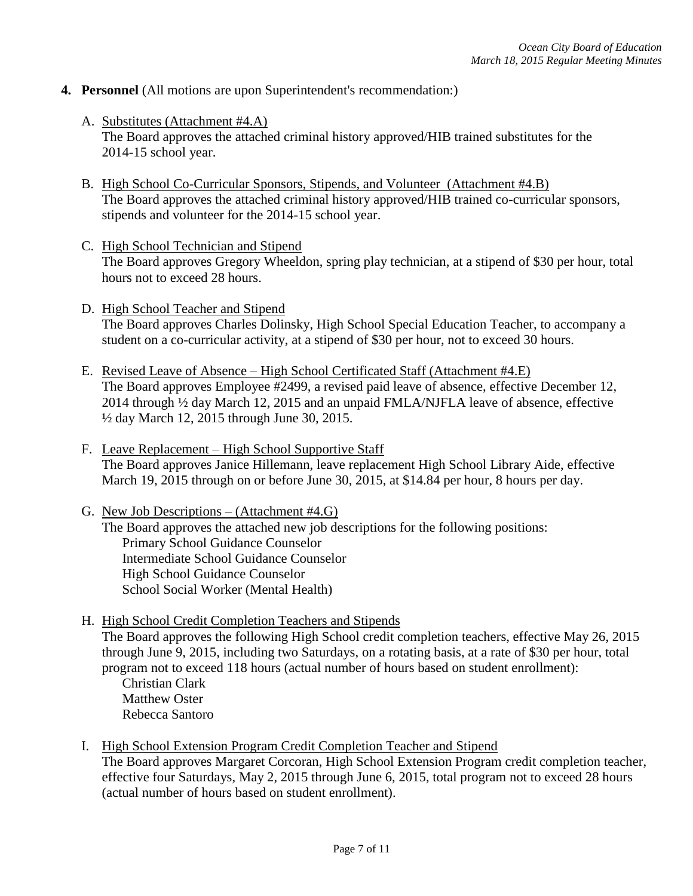# **4. Personnel** (All motions are upon Superintendent's recommendation:)

- A. Substitutes (Attachment #4.A) The Board approves the attached criminal history approved/HIB trained substitutes for the 2014-15 school year.
- B. High School Co-Curricular Sponsors, Stipends, and Volunteer (Attachment #4.B) The Board approves the attached criminal history approved/HIB trained co-curricular sponsors, stipends and volunteer for the 2014-15 school year.
- C. High School Technician and Stipend The Board approves Gregory Wheeldon, spring play technician, at a stipend of \$30 per hour, total hours not to exceed 28 hours.
- D. High School Teacher and Stipend The Board approves Charles Dolinsky, High School Special Education Teacher, to accompany a student on a co-curricular activity, at a stipend of \$30 per hour, not to exceed 30 hours.
- E. Revised Leave of Absence High School Certificated Staff (Attachment #4.E) The Board approves Employee #2499, a revised paid leave of absence, effective December 12, 2014 through ½ day March 12, 2015 and an unpaid FMLA/NJFLA leave of absence, effective ½ day March 12, 2015 through June 30, 2015.
- F. Leave Replacement High School Supportive Staff The Board approves Janice Hillemann, leave replacement High School Library Aide, effective March 19, 2015 through on or before June 30, 2015, at \$14.84 per hour, 8 hours per day.
- G. New Job Descriptions (Attachment #4.G)

The Board approves the attached new job descriptions for the following positions: Primary School Guidance Counselor Intermediate School Guidance Counselor High School Guidance Counselor School Social Worker (Mental Health)

H. High School Credit Completion Teachers and Stipends

The Board approves the following High School credit completion teachers, effective May 26, 2015 through June 9, 2015, including two Saturdays, on a rotating basis, at a rate of \$30 per hour, total program not to exceed 118 hours (actual number of hours based on student enrollment):

Christian Clark Matthew Oster Rebecca Santoro

I. High School Extension Program Credit Completion Teacher and Stipend

The Board approves Margaret Corcoran, High School Extension Program credit completion teacher, effective four Saturdays, May 2, 2015 through June 6, 2015, total program not to exceed 28 hours (actual number of hours based on student enrollment).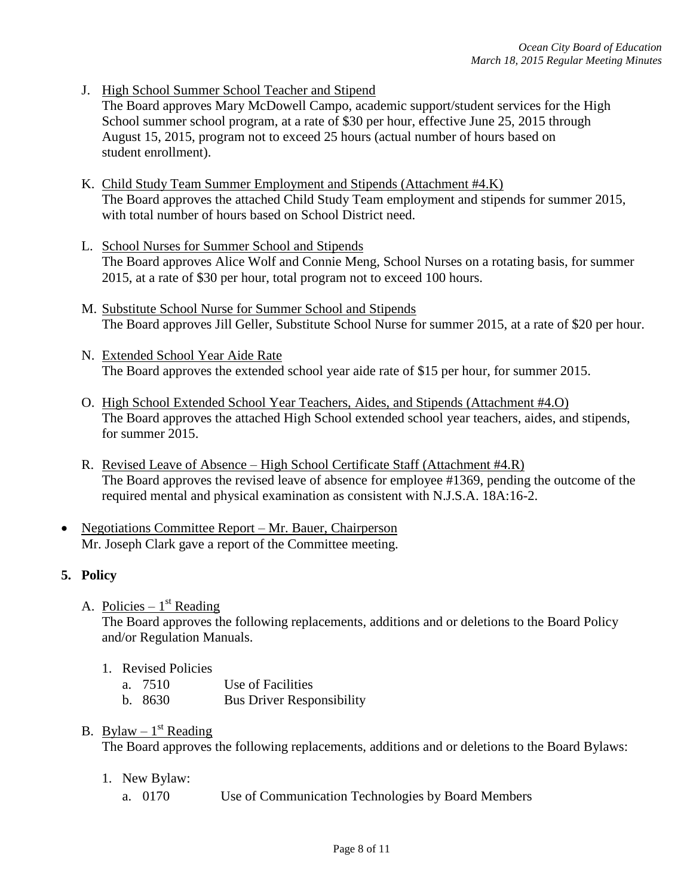J. High School Summer School Teacher and Stipend

The Board approves Mary McDowell Campo, academic support/student services for the High School summer school program, at a rate of \$30 per hour, effective June 25, 2015 through August 15, 2015, program not to exceed 25 hours (actual number of hours based on student enrollment).

- K. Child Study Team Summer Employment and Stipends (Attachment #4.K) The Board approves the attached Child Study Team employment and stipends for summer 2015, with total number of hours based on School District need.
- L. School Nurses for Summer School and Stipends The Board approves Alice Wolf and Connie Meng, School Nurses on a rotating basis, for summer 2015, at a rate of \$30 per hour, total program not to exceed 100 hours.
- M. Substitute School Nurse for Summer School and Stipends The Board approves Jill Geller, Substitute School Nurse for summer 2015, at a rate of \$20 per hour.
- N. Extended School Year Aide Rate The Board approves the extended school year aide rate of \$15 per hour, for summer 2015.
- O. High School Extended School Year Teachers, Aides, and Stipends (Attachment #4.O) The Board approves the attached High School extended school year teachers, aides, and stipends, for summer 2015.
- R. Revised Leave of Absence High School Certificate Staff (Attachment #4.R) The Board approves the revised leave of absence for employee #1369, pending the outcome of the required mental and physical examination as consistent with N.J.S.A. 18A:16-2.
- Negotiations Committee Report Mr. Bauer, Chairperson Mr. Joseph Clark gave a report of the Committee meeting.

# **5. Policy**

A. Policies –  $1<sup>st</sup>$  Reading

The Board approves the following replacements, additions and or deletions to the Board Policy and/or Regulation Manuals.

- 1. Revised Policies
	- a. 7510 Use of Facilities
	- b. 8630 Bus Driver Responsibility

# B. Bylaw –  $1<sup>st</sup>$  Reading

The Board approves the following replacements, additions and or deletions to the Board Bylaws:

- 1. New Bylaw:
	- a. 0170 Use of Communication Technologies by Board Members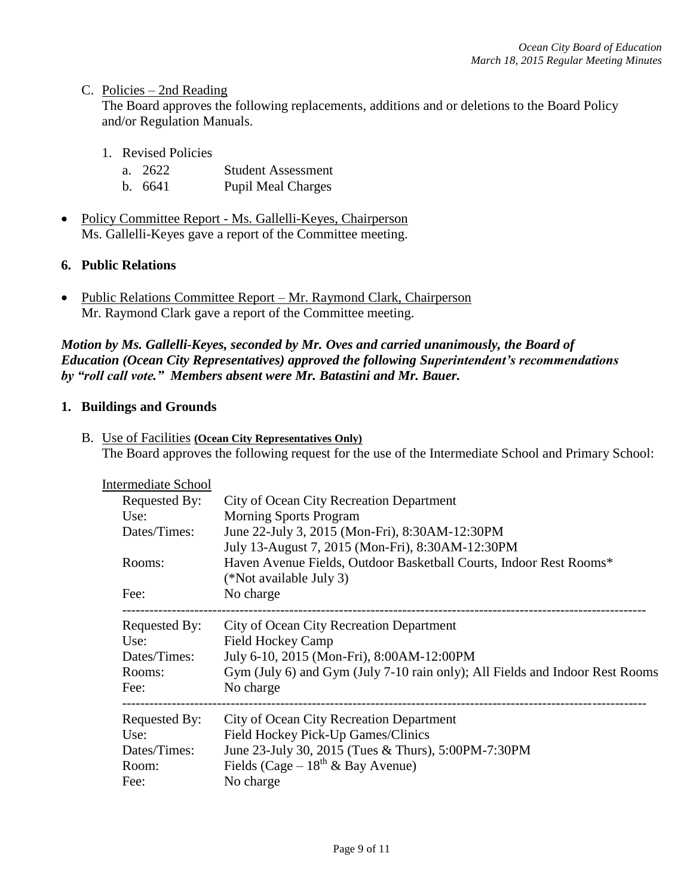#### C. Policies – 2nd Reading

The Board approves the following replacements, additions and or deletions to the Board Policy and/or Regulation Manuals.

- 1. Revised Policies
	- a. 2622 Student Assessment
	- b. 6641 Pupil Meal Charges
- Policy Committee Report Ms. Gallelli-Keyes, Chairperson Ms. Gallelli-Keyes gave a report of the Committee meeting.

# **6. Public Relations**

• Public Relations Committee Report – Mr. Raymond Clark, Chairperson Mr. Raymond Clark gave a report of the Committee meeting.

*Motion by Ms. Gallelli-Keyes, seconded by Mr. Oves and carried unanimously, the Board of Education (Ocean City Representatives) approved the following Superintendent's recommendations by "roll call vote." Members absent were Mr. Batastini and Mr. Bauer.*

#### **1. Buildings and Grounds**

B. Use of Facilities **(Ocean City Representatives Only)** The Board approves the following request for the use of the Intermediate School and Primary School:

| Intermediate School |                                                                              |
|---------------------|------------------------------------------------------------------------------|
| Requested By:       | City of Ocean City Recreation Department                                     |
| Use:                | <b>Morning Sports Program</b>                                                |
| Dates/Times:        | June 22-July 3, 2015 (Mon-Fri), 8:30AM-12:30PM                               |
|                     | July 13-August 7, 2015 (Mon-Fri), 8:30AM-12:30PM                             |
| Rooms:              | Haven Avenue Fields, Outdoor Basketball Courts, Indoor Rest Rooms*           |
|                     | (*Not available July 3)                                                      |
| Fee:                | No charge                                                                    |
| Requested By:       | City of Ocean City Recreation Department                                     |
| Use:                | <b>Field Hockey Camp</b>                                                     |
| Dates/Times:        | July 6-10, 2015 (Mon-Fri), 8:00AM-12:00PM                                    |
| Rooms:              | Gym (July 6) and Gym (July 7-10 rain only); All Fields and Indoor Rest Rooms |
| Fee:                | No charge                                                                    |
| Requested By:       | City of Ocean City Recreation Department                                     |
| Use:                | Field Hockey Pick-Up Games/Clinics                                           |
| Dates/Times:        | June 23-July 30, 2015 (Tues & Thurs), 5:00PM-7:30PM                          |
| Room:               | Fields (Cage – $18^{th}$ & Bay Avenue)                                       |
| Fee:                | No charge                                                                    |
|                     |                                                                              |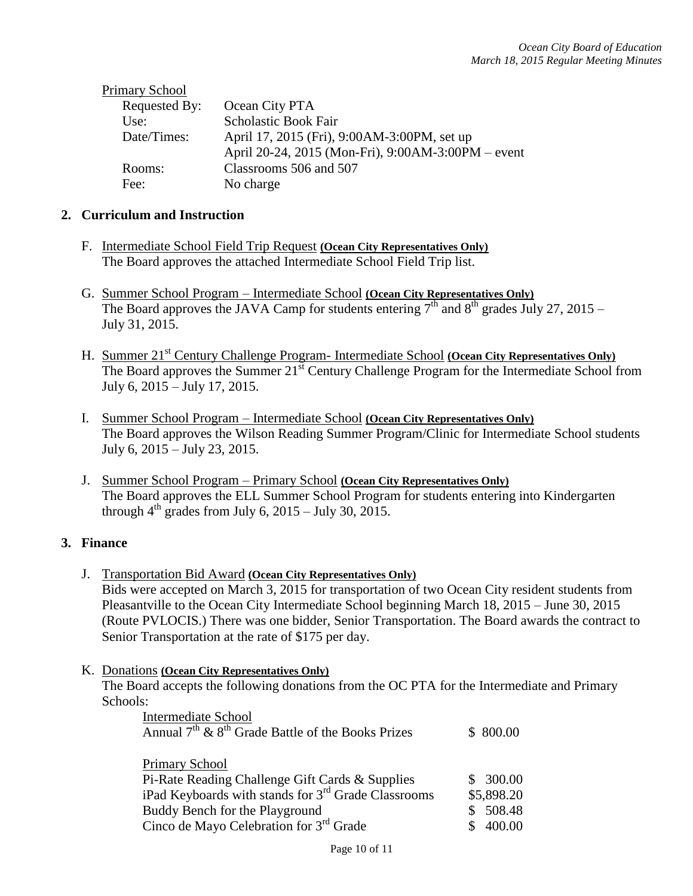| <b>Primary School</b> |                                                    |
|-----------------------|----------------------------------------------------|
| Requested By:         | Ocean City PTA                                     |
| Use:                  | <b>Scholastic Book Fair</b>                        |
| Date/Times:           | April 17, 2015 (Fri), 9:00AM-3:00PM, set up        |
|                       | April 20-24, 2015 (Mon-Fri), 9:00AM-3:00PM – event |
| Rooms:                | Classrooms 506 and 507                             |
| Fee:                  | No charge                                          |
|                       |                                                    |

### **2. Curriculum and Instruction**

- F. Intermediate School Field Trip Request **(Ocean City Representatives Only)** The Board approves the attached Intermediate School Field Trip list.
- G. Summer School Program Intermediate School **(Ocean City Representatives Only)** The Board approves the JAVA Camp for students entering 7<sup>th</sup> and 8<sup>th</sup> grades July 27, 2015 – July 31, 2015.
- H. Summer 21<sup>st</sup> Century Challenge Program- Intermediate School (Ocean City Representatives Only) The Board approves the Summer 21<sup>st</sup> Century Challenge Program for the Intermediate School from July 6, 2015 – July 17, 2015.
- I. Summer School Program Intermediate School **(Ocean City Representatives Only)** The Board approves the Wilson Reading Summer Program/Clinic for Intermediate School students July 6, 2015 – July 23, 2015.
- J. Summer School Program Primary School **(Ocean City Representatives Only)** The Board approves the ELL Summer School Program for students entering into Kindergarten through  $4<sup>th</sup>$  grades from July 6, 2015 – July 30, 2015.

### **3. Finance**

- J. Transportation Bid Award **(Ocean City Representatives Only)** Bids were accepted on March 3, 2015 for transportation of two Ocean City resident students from Pleasantville to the Ocean City Intermediate School beginning March 18, 2015 – June 30, 2015 (Route PVLOCIS.) There was one bidder, Senior Transportation. The Board awards the contract to Senior Transportation at the rate of \$175 per day.
- K. Donations **(Ocean City Representatives Only)** The Board accepts the following donations from the OC PTA for the Intermediate and Primary Schools:

| Intermediate School<br>Annual $7th$ & $8th$ Grade Battle of the Books Prizes                                                                                                                                      | \$ 800.00                                    |
|-------------------------------------------------------------------------------------------------------------------------------------------------------------------------------------------------------------------|----------------------------------------------|
| Primary School<br>Pi-Rate Reading Challenge Gift Cards & Supplies<br>iPad Keyboards with stands for 3 <sup>rd</sup> Grade Classrooms<br>Buddy Bench for the Playground<br>Cinco de Mayo Celebration for 3rd Grade | \$300.00<br>\$5,898.20<br>\$508.48<br>400.00 |